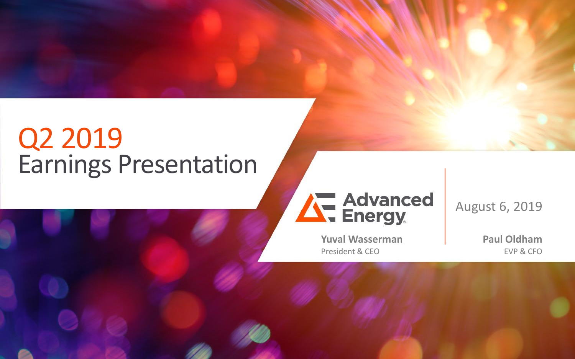# Q2 2019 Earnings Presentation



**Yuval Wasserman** President & CEO

August 6, 2019

**Paul Oldham** EVP & CFO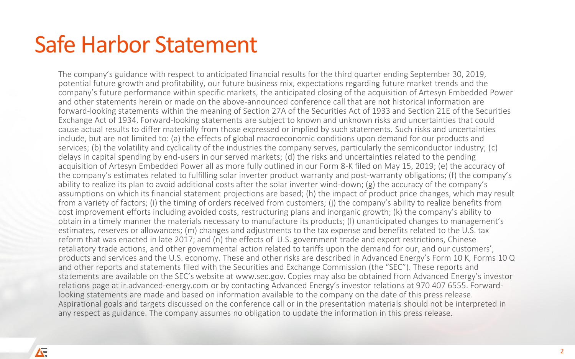#### Safe Harbor Statement

The company's guidance with respect to anticipated financial results for the third quarter ending September 30, 2019, potential future growth and profitability, our future business mix, expectations regarding future market trends and the company's future performance within specific markets, the anticipated closing of the acquisition of Artesyn Embedded Power and other statements herein or made on the above-announced conference call that are not historical information are forward-looking statements within the meaning of Section 27A of the Securities Act of 1933 and Section 21E of the Securities Exchange Act of 1934. Forward-looking statements are subject to known and unknown risks and uncertainties that could cause actual results to differ materially from those expressed or implied by such statements. Such risks and uncertainties include, but are not limited to: (a) the effects of global macroeconomic conditions upon demand for our products and services; (b) the volatility and cyclicality of the industries the company serves, particularly the semiconductor industry; (c) delays in capital spending by end-users in our served markets; (d) the risks and uncertainties related to the pending acquisition of Artesyn Embedded Power all as more fully outlined in our Form 8-K filed on May 15, 2019; (e) the accuracy of the company's estimates related to fulfilling solar inverter product warranty and post-warranty obligations; (f) the company's ability to realize its plan to avoid additional costs after the solar inverter wind-down; (g) the accuracy of the company's assumptions on which its financial statement projections are based; (h) the impact of product price changes, which may result from a variety of factors; (i) the timing of orders received from customers; (j) the company's ability to realize benefits from cost improvement efforts including avoided costs, restructuring plans and inorganic growth; (k) the company's ability to obtain in a timely manner the materials necessary to manufacture its products; (l) unanticipated changes to management's estimates, reserves or allowances; (m) changes and adjustments to the tax expense and benefits related to the U.S. tax reform that was enacted in late 2017; and (n) the effects of U.S. government trade and export restrictions, Chinese retaliatory trade actions, and other governmental action related to tariffs upon the demand for our, and our customers', products and services and the U.S. economy. These and other risks are described in Advanced Energy's Form 10 K, Forms 10 Q and other reports and statements filed with the Securities and Exchange Commission (the "SEC"). These reports and statements are available on the SEC's website at www.sec.gov. Copies may also be obtained from Advanced Energy's investor relations page at ir.advanced-energy.com or by contacting Advanced Energy's investor relations at 970 407 6555. Forwardlooking statements are made and based on information available to the company on the date of this press release. Aspirational goals and targets discussed on the conference call or in the presentation materials should not be interpreted in any respect as guidance. The company assumes no obligation to update the information in this press release.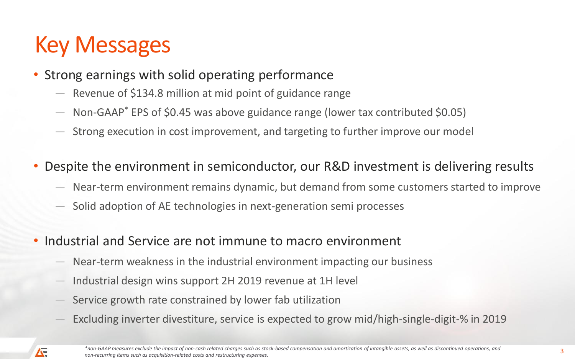## Key Messages

- Strong earnings with solid operating performance
	- ― Revenue of \$134.8 million at mid point of guidance range
	- Non-GAAP<sup>\*</sup> EPS of \$0.45 was above guidance range (lower tax contributed \$0.05)
	- $-$  Strong execution in cost improvement, and targeting to further improve our model
- Despite the environment in semiconductor, our R&D investment is delivering results
	- ― Near-term environment remains dynamic, but demand from some customers started to improve
	- ― Solid adoption of AE technologies in next-generation semi processes
- Industrial and Service are not immune to macro environment
	- Near-term weakness in the industrial environment impacting our business
	- ― Industrial design wins support 2H 2019 revenue at 1H level
	- Service growth rate constrained by lower fab utilization
	- ― Excluding inverter divestiture, service is expected to grow mid/high-single-digit-% in 2019



*<sup>\*</sup>non-GAAP measures exclude the impact of non-cash related charges such as stock-based compensation and amortization of intangible assets, as well as discontinued operations, and non-recurring items such as acquisition-related costs and restructuring expenses.*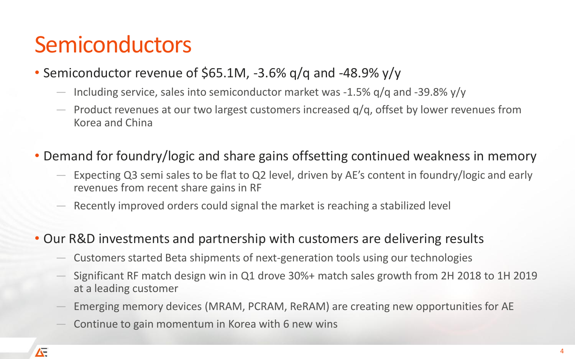### **Semiconductors**

- Semiconductor revenue of \$65.1M, -3.6% q/q and -48.9% y/y
	- ― Including service, sales into semiconductor market was -1.5% q/q and -39.8% y/y
	- ― Product revenues at our two largest customers increased q/q, offset by lower revenues from Korea and China

#### • Demand for foundry/logic and share gains offsetting continued weakness in memory

- ― Expecting Q3 semi sales to be flat to Q2 level, driven by AE's content in foundry/logic and early revenues from recent share gains in RF
- Recently improved orders could signal the market is reaching a stabilized level

#### • Our R&D investments and partnership with customers are delivering results

- Customers started Beta shipments of next-generation tools using our technologies
- Significant RF match design win in Q1 drove 30%+ match sales growth from 2H 2018 to 1H 2019 at a leading customer
- Emerging memory devices (MRAM, PCRAM, ReRAM) are creating new opportunities for AE
- ― Continue to gain momentum in Korea with 6 new wins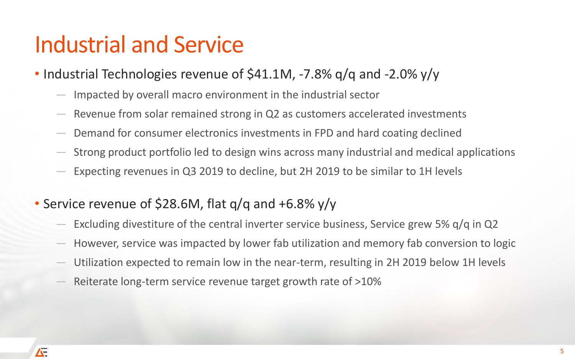### Industrial and Service

- Industrial Technologies revenue of \$41.1M, -7.8% q/q and -2.0% y/y
	- ― Impacted by overall macro environment in the industrial sector
	- Revenue from solar remained strong in Q2 as customers accelerated investments
	- Demand for consumer electronics investments in FPD and hard coating declined
	- ― Strong product portfolio led to design wins across many industrial and medical applications
	- Expecting revenues in Q3 2019 to decline, but 2H 2019 to be similar to 1H levels
- Service revenue of \$28.6M, flat q/q and +6.8% y/y
	- Excluding divestiture of the central inverter service business, Service grew 5% q/q in Q2
	- However, service was impacted by lower fab utilization and memory fab conversion to logic
	- Utilization expected to remain low in the near-term, resulting in 2H 2019 below 1H levels
	- Reiterate long-term service revenue target growth rate of >10%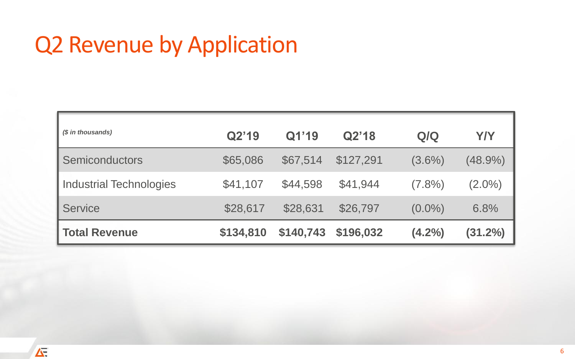## Q2 Revenue by Application

Æ

| $$$ in thousands)              | Q2'19     | Q1'19     | Q2'18     | Q/Q       | <b>Y/Y</b> |
|--------------------------------|-----------|-----------|-----------|-----------|------------|
| Semiconductors                 | \$65,086  | \$67,514  | \$127,291 | $(3.6\%)$ | $(48.9\%)$ |
| <b>Industrial Technologies</b> | \$41,107  | \$44,598  | \$41,944  | $(7.8\%)$ | $(2.0\%)$  |
| <b>Service</b>                 | \$28,617  | \$28,631  | \$26,797  | $(0.0\%)$ | 6.8%       |
| <b>Total Revenue</b>           | \$134,810 | \$140,743 | \$196,032 | $(4.2\%)$ | (31.2%)    |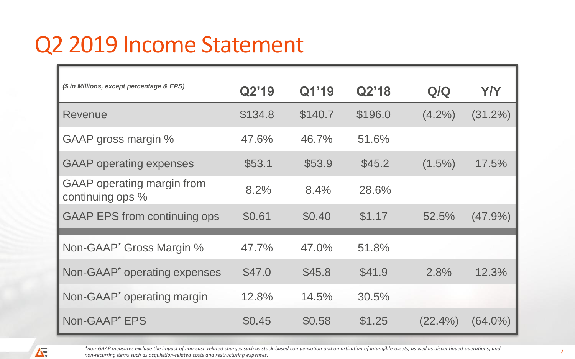### Q2 2019 Income Statement

| (\$ in Millions, except percentage & EPS)      | Q2'19   | Q1'19   | Q2'18   | Q/Q        | Y/Y        |
|------------------------------------------------|---------|---------|---------|------------|------------|
| Revenue                                        | \$134.8 | \$140.7 | \$196.0 | $(4.2\%)$  | (31.2%)    |
| GAAP gross margin %                            | 47.6%   | 46.7%   | 51.6%   |            |            |
| <b>GAAP</b> operating expenses                 | \$53.1  | \$53.9  | \$45.2  | $(1.5\%)$  | 17.5%      |
| GAAP operating margin from<br>continuing ops % | 8.2%    | 8.4%    | 28.6%   |            |            |
| <b>GAAP EPS from continuing ops</b>            | \$0.61  | \$0.40  | \$1.17  | 52.5%      | $(47.9\%)$ |
| Non-GAAP <sup>*</sup> Gross Margin %           | 47.7%   | 47.0%   | 51.8%   |            |            |
| Non-GAAP <sup>*</sup> operating expenses       | \$47.0  | \$45.8  | \$41.9  | 2.8%       | 12.3%      |
| Non-GAAP <sup>*</sup> operating margin         | 12.8%   | 14.5%   | 30.5%   |            |            |
| Non-GAAP <sup>*</sup> EPS                      | \$0.45  | \$0.58  | \$1.25  | $(22.4\%)$ | $(64.0\%)$ |

Æ

*\*non-GAAP measures exclude the impact of non-cash related charges such as stock-based compensation and amortization of intangible assets, as well as discontinued operations, and non-recurring items such as acquisition-related costs and restructuring expenses.*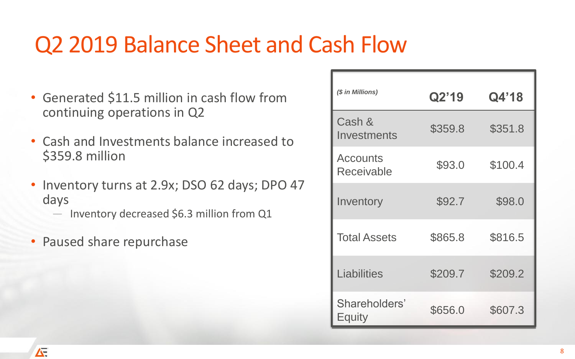### Q2 2019 Balance Sheet and Cash Flow

- Generated \$11.5 million in cash flow from continuing operations in Q2
- Cash and Investments balance increased to \$359.8 million
- Inventory turns at 2.9x; DSO 62 days; DPO 47 days
	- ― Inventory decreased \$6.3 million from Q1
- Paused share repurchase

| (\$ in Millions)        | Q2'19   | Q4'18   |
|-------------------------|---------|---------|
| Cash &<br>Investments   | \$359.8 | \$351.8 |
| Accounts<br>Receivable  | \$93.0  | \$100.4 |
| Inventory               | \$92.7  | \$98.0  |
| <b>Total Assets</b>     | \$865.8 | \$816.5 |
| Liabilities             | \$209.7 | \$209.2 |
| Shareholders'<br>Equity | \$656.0 | \$607.3 |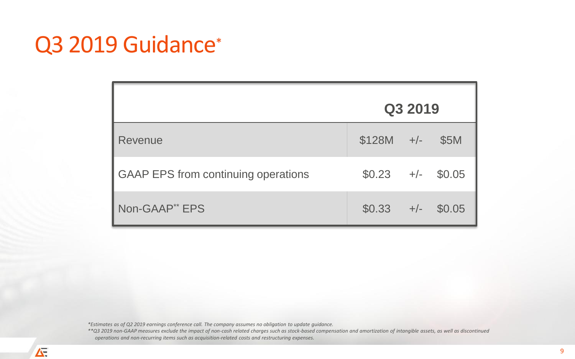#### Q3 2019 Guidance\*

|                                            | Q3 2019             |       |              |  |  |  |
|--------------------------------------------|---------------------|-------|--------------|--|--|--|
| Revenue                                    | \$128M              | $+/-$ | \$5M         |  |  |  |
| <b>GAAP EPS from continuing operations</b> | $$0.23$ +/- $$0.05$ |       |              |  |  |  |
| Non-GAAP** EPS                             | \$0.33              |       | $+/-$ \$0.05 |  |  |  |

*\*Estimates as of Q2 2019 earnings conference call. The company assumes no obligation to update guidance.* 

*\*\*Q3 2019 non-GAAP measures exclude the impact of non-cash related charges such as stock-based compensation and amortization of intangible assets, as well as discontinued operations and non-recurring items such as acquisition-related costs and restructuring expenses.*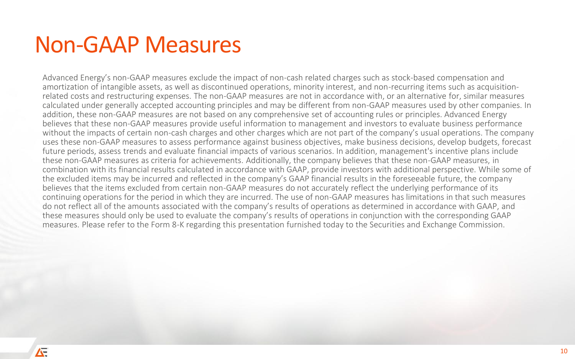#### Non-GAAP Measures

Æ

Advanced Energy's non-GAAP measures exclude the impact of non-cash related charges such as stock-based compensation and amortization of intangible assets, as well as discontinued operations, minority interest, and non-recurring items such as acquisitionrelated costs and restructuring expenses. The non-GAAP measures are not in accordance with, or an alternative for, similar measures calculated under generally accepted accounting principles and may be different from non-GAAP measures used by other companies. In addition, these non-GAAP measures are not based on any comprehensive set of accounting rules or principles. Advanced Energy believes that these non-GAAP measures provide useful information to management and investors to evaluate business performance without the impacts of certain non-cash charges and other charges which are not part of the company's usual operations. The company uses these non-GAAP measures to assess performance against business objectives, make business decisions, develop budgets, forecast future periods, assess trends and evaluate financial impacts of various scenarios. In addition, management's incentive plans include these non-GAAP measures as criteria for achievements. Additionally, the company believes that these non-GAAP measures, in combination with its financial results calculated in accordance with GAAP, provide investors with additional perspective. While some of the excluded items may be incurred and reflected in the company's GAAP financial results in the foreseeable future, the company believes that the items excluded from certain non-GAAP measures do not accurately reflect the underlying performance of its continuing operations for the period in which they are incurred. The use of non-GAAP measures has limitations in that such measures do not reflect all of the amounts associated with the company's results of operations as determined in accordance with GAAP, and these measures should only be used to evaluate the company's results of operations in conjunction with the corresponding GAAP measures. Please refer to the Form 8-K regarding this presentation furnished today to the Securities and Exchange Commission.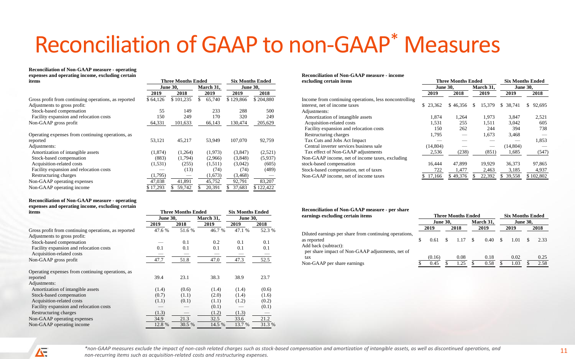## Reconciliation of GAAP to non-GAAP\* Measures

#### **Reconciliation of Non-GAAP measure - operating expenses and operating income, excluding certain items Three Months Ended Six Months Ended**

|                                                      |          | <b>June 30.</b> |    | March 31, |           | <b>June 30.</b> |  |  |
|------------------------------------------------------|----------|-----------------|----|-----------|-----------|-----------------|--|--|
|                                                      | 2019     | 2018            |    | 2019      | 2019      | 2018            |  |  |
| Gross profit from continuing operations, as reported | \$64,126 | \$101,235       | \$ | 65,740    | \$129,866 | \$204.880       |  |  |
| Adjustments to gross profit:                         |          |                 |    |           |           |                 |  |  |
| Stock-based compensation                             | 55       | 149             |    | 233       | 288       | 500             |  |  |
| Facility expansion and relocation costs              | 150      | 249             |    | 170       | 320       | 249             |  |  |
| Non-GAAP gross profit                                | 64,331   | 101,633         |    | 66,143    | 130,474   | 205,629         |  |  |
| Operating expenses from continuing operations, as    |          |                 |    |           |           |                 |  |  |
| reported                                             | 53,121   | 45,217          |    | 53,949    | 107,070   | 92,759          |  |  |
| Adjustments:                                         |          |                 |    |           |           |                 |  |  |
| Amortization of intangible assets                    | (1,874)  | (1.264)         |    | (1.973)   | (3.847)   | (2,521)         |  |  |
| Stock-based compensation                             | (883)    | (1.794)         |    | (2,966)   | (3,848)   | (5,937)         |  |  |
| Acquisition-related costs                            | (1, 531) | (255)           |    | (1,511)   | (3,042)   | (605)           |  |  |
| Facility expansion and relocation costs              |          | (13)            |    | (74)      | (74)      | (489)           |  |  |
| Restructuring charges                                | (1,795)  |                 |    | (1,673)   | (3, 468)  |                 |  |  |
| Non-GAAP operating expenses                          | 47.038   | 41.891          |    | 45,752    | 92,791    | 83,207          |  |  |
| Non-GAAP operating income                            | \$17,293 | 59,742<br>ς     |    | 20,391    | 37,683    | \$122.422       |  |  |

#### **Reconciliation of Non-GAAP measure - operating expenses and operating income, excluding certain items Three Months Ended Six Months Ended**

|                                                      | <b>June 30.</b> |        | March 31. | <b>June 30.</b> |        |  |  |
|------------------------------------------------------|-----------------|--------|-----------|-----------------|--------|--|--|
|                                                      | 2019            | 2018   | 2019      | 2019            | 2018   |  |  |
| Gross profit from continuing operations, as reported | 47.6%           | 51.6 % | 46.7%     | 47.1 %          | 52.3 % |  |  |
| Adjustments to gross profit:                         |                 |        |           |                 |        |  |  |
| Stock-based compensation                             |                 | 0.1    | 0.2       | 0.1             | 0.1    |  |  |
| Facility expansion and relocation costs              | 0.1             | 0.1    | 0.1       | 0.1             | 0.1    |  |  |
| Acquisition-related costs                            |                 |        |           |                 |        |  |  |
| Non-GAAP gross profit                                | 47.7            | 51.8   | 47.0      | 47.3            | 52.5   |  |  |
| Operating expenses from continuing operations, as    |                 |        |           |                 |        |  |  |
| reported                                             | 39.4            | 23.1   | 38.3      | 38.9            | 23.7   |  |  |
| Adjustments:                                         |                 |        |           |                 |        |  |  |
| Amortization of intangible assets                    | (1.4)           | (0.6)  | (1.4)     | (1.4)           | (0.6)  |  |  |
| Stock-based compensation                             | (0.7)           | (1.1)  | (2.0)     | (1.4)           | (1.6)  |  |  |
| Acquisition-related costs                            | (1.1)           | (0.1)  | (1.1)     | (1.2)           | (0.2)  |  |  |
| Facility expansion and relocation costs              |                 |        | (0.1)     |                 | (0.1)  |  |  |
| Restructuring charges                                | (1.3)           |        | (1.2)     | (1.3)           |        |  |  |
| Non-GAAP operating expenses                          | 34.9            | 21.3   | 32.5      | 33.6            | 21.2   |  |  |
| Non-GAAP operating income                            | 12.8%           | 30.5 % | 14.5 %    | 13.7 %          | 31.3 % |  |  |

| <b>Reconciliation of Non-GAAP measure - income</b>     |              |                              |    |                         |                 |              |  |
|--------------------------------------------------------|--------------|------------------------------|----|-------------------------|-----------------|--------------|--|
| excluding certain items                                |              | Three Months Ended           |    | <b>Six Months Ended</b> |                 |              |  |
|                                                        |              | <b>June 30.</b><br>March 31. |    |                         | <b>June 30.</b> |              |  |
|                                                        | 2019         | 2018                         |    | 2019                    | 2019            | 2018         |  |
| Income from continuing operations, less noncontrolling |              |                              |    |                         |                 |              |  |
| interest, net of income taxes                          | 23.362<br>S. | \$46,356                     | \$ | 15.379                  | 38.741<br>S.    | 92.695<br>S. |  |
| Adjustments:                                           |              |                              |    |                         |                 |              |  |
| Amortization of intangible assets                      | 1.874        | 1.264                        |    | 1.973                   | 3.847           | 2.521        |  |
| Acquisition-related costs                              | 1.531        | 255                          |    | 1.511                   | 3.042           | 605          |  |
| Facility expansion and relocation costs                | 150          | 262                          |    | 244                     | 394             | 738          |  |
| Restructuring charges                                  | 1,795        | -                            |    | 1,673                   | 3,468           |              |  |
| Tax Cuts and Jobs Act Impact                           |              |                              |    |                         |                 | 1,853        |  |
| Central inverter services business sale                | (14, 804)    |                              |    |                         | (14, 804)       |              |  |
| Tax effect of Non-GAAP adjustments                     | 2,536        | (238)                        |    | (851)                   | 1.685           | (547)        |  |
| Non-GAAP income, net of income taxes, excluding        |              |                              |    |                         |                 |              |  |
| stock-based compensation                               | 16,444       | 47.899                       |    | 19.929                  | 36.373          | 97,865       |  |
| Stock-based compensation, net of taxes                 | 722          | 1.477                        |    | 2,463                   | 3,185           | 4,937        |  |
| Non-GAAP income, net of income taxes                   | 17,166       | \$49,376                     |    | 22,392                  | 39,558          | \$102,802    |  |

#### **Reconciliation of Non-GAAP measure - per share earnings excluding certain items Three Months Ended Six Months Ended**

|                                                        | <b>June 30.</b> |        |      |      | March 31. | <b>June 30.</b> |  |      |  |      |
|--------------------------------------------------------|-----------------|--------|------|------|-----------|-----------------|--|------|--|------|
|                                                        |                 | 2019   |      | 2018 |           | 2019            |  | 2019 |  | 2018 |
| Diluted earnings per share from continuing operations, |                 |        |      |      |           |                 |  |      |  |      |
| as reported                                            |                 | 0.61   | - \$ | 1.17 | - \$      | 0.40            |  | 1.01 |  | 2.33 |
| Add back (subtract):                                   |                 |        |      |      |           |                 |  |      |  |      |
| per share impact of Non-GAAP adjustments, net of       |                 |        |      |      |           |                 |  |      |  |      |
| tax                                                    |                 | (0.16) |      | 0.08 |           | 0.18            |  | 0.02 |  | 0.25 |
| Non-GAAP per share earnings                            |                 | 0.45   |      | 1.25 |           | 0.58            |  | 1.03 |  | 2.58 |
|                                                        |                 |        |      |      |           |                 |  |      |  |      |



11 11 *\*non-GAAP measures exclude the impact of non-cash related charges such as stock-based compensation and amortization of intangible assets, as well as discontinued operations, and non-recurring items such as acquisition-related costs and restructuring expenses.*